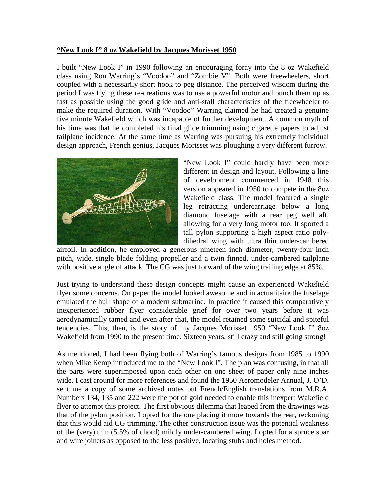## **"New Look I" 8 oz Wakefield by Jacques Morisset 1950**

I built "New Look I" in 1990 following an encouraging foray into the 8 oz Wakefield class using Ron Warring's "Voodoo" and "Zombie V". Both were freewheelers, short coupled with a necessarily short hook to peg distance. The perceived wisdom during the period I was flying these re-creations was to use a powerful motor and punch them up as fast as possible using the good glide and anti-stall characteristics of the freewheeler to make the required duration. With "Voodoo" Warring claimed he had created a genuine five minute Wakefield which was incapable of further development. A common myth of his time was that he completed his final glide trimming using cigarette papers to adjust tailplane incidence. At the same time as Warring was pursuing his extremely individual design approach, French genius, Jacques Morisset was ploughing a very different furrow.



"New Look I" could hardly have been more different in design and layout. Following a line of development commenced in 1948 this version appeared in 1950 to compete in the 8oz Wakefield class. The model featured a single leg retracting undercarriage below a long diamond fuselage with a rear peg well aft, allowing for a very long motor too. It sported a tall pylon supporting a high aspect ratio polydihedral wing with ultra thin under-cambered

airfoil. In addition, he employed a generous nineteen inch diameter, twenty-four inch pitch, wide, single blade folding propeller and a twin finned, under-cambered tailplane with positive angle of attack. The CG was just forward of the wing trailing edge at 85%.

Just trying to understand these design concepts might cause an experienced Wakefield flyer some concerns. On paper the model looked awesome and in actualitaire the fuselage emulated the hull shape of a modern submarine. In practice it caused this comparatively inexperienced rubber flyer considerable grief for over two years before it was aerodynamically tamed and even after that, the model retained some suicidal and spiteful tendencies. This, then, is the story of my Jacques Morisset 1950 "New Look I" 8oz Wakefield from 1990 to the present time. Sixteen years, still crazy and still going strong!

As mentioned, I had been flying both of Warring's famous designs from 1985 to 1990 when Mike Kemp introduced me to the "New Look I". The plan was confusing, in that all the parts were superimposed upon each other on one sheet of paper only nine inches wide. I cast around for more references and found the 1950 Aeromodeler Annual, J. O'D. sent me a copy of some archived notes but French/English translations from M.R.A. Numbers 134, 135 and 222 were the pot of gold needed to enable this inexpert Wakefield flyer to attempt this project. The first obvious dilemma that leaped from the drawings was that of the pylon position. I opted for the one placing it more towards the rear, reckoning that this would aid CG trimming. The other construction issue was the potential weakness of the (very) thin (5.5% of chord) mildly under-cambered wing. I opted for a spruce spar and wire joiners as opposed to the less positive, locating stubs and holes method.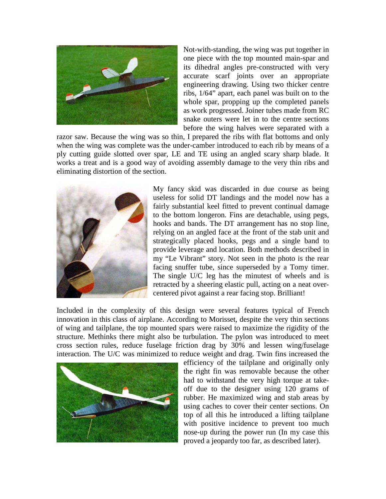

Not-with-standing, the wing was put together in one piece with the top mounted main-spar and its dihedral angles pre-constructed with very accurate scarf joints over an appropriate engineering drawing. Using two thicker centre ribs, 1/64" apart, each panel was built on to the whole spar, propping up the completed panels as work progressed. Joiner tubes made from RC snake outers were let in to the centre sections before the wing halves were separated with a

razor saw. Because the wing was so thin, I prepared the ribs with flat bottoms and only when the wing was complete was the under-camber introduced to each rib by means of a ply cutting guide slotted over spar, LE and TE using an angled scary sharp blade. It works a treat and is a good way of avoiding assembly damage to the very thin ribs and eliminating distortion of the section.



My fancy skid was discarded in due course as being useless for solid DT landings and the model now has a fairly substantial keel fitted to prevent continual damage to the bottom longeron. Fins are detachable, using pegs, hooks and bands. The DT arrangement has no stop line, relying on an angled face at the front of the stab unit and strategically placed hooks, pegs and a single band to provide leverage and location. Both methods described in my "Le Vibrant" story. Not seen in the photo is the rear facing snuffer tube, since superseded by a Tomy timer. The single U/C leg has the minutest of wheels and is retracted by a sheering elastic pull, acting on a neat overcentered pivot against a rear facing stop. Brilliant!

Included in the complexity of this design were several features typical of French innovation in this class of airplane. According to Morisset, despite the very thin sections of wing and tailplane, the top mounted spars were raised to maximize the rigidity of the structure. Methinks there might also be turbulation. The pylon was introduced to meet cross section rules, reduce fuselage friction drag by 30% and lessen wing/fuselage interaction. The U/C was minimized to reduce weight and drag. Twin fins increased the



efficiency of the tailplane and originally only the right fin was removable because the other had to withstand the very high torque at takeoff due to the designer using 120 grams of rubber. He maximized wing and stab areas by using caches to cover their center sections. On top of all this he introduced a lifting tailplane with positive incidence to prevent too much nose-up during the power run (In my case this proved a jeopardy too far, as described later).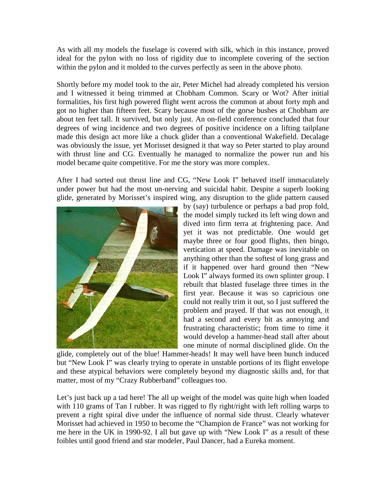As with all my models the fuselage is covered with silk, which in this instance, proved ideal for the pylon with no loss of rigidity due to incomplete covering of the section within the pylon and it molded to the curves perfectly as seen in the above photo.

Shortly before my model took to the air, Peter Michel had already completed his version and I witnessed it being trimmed at Chobham Common. Scary or Wot? After initial formalities, his first high powered flight went across the common at about forty mph and got no higher than fifteen feet. Scary because most of the gorse bushes at Chobham are about ten feet tall. It survived, but only just. An on-field conference concluded that four degrees of wing incidence and two degrees of positive incidence on a lifting tailplane made this design act more like a chuck glider than a conventional Wakefield. Decalage was obviously the issue, yet Morisset designed it that way so Peter started to play around with thrust line and CG. Eventually he managed to normalize the power run and his model became quite competitive. For me the story was more complex.

After I had sorted out thrust line and CG, "New Look I" behaved itself immaculately under power but had the most un-nerving and suicidal habit. Despite a superb looking glide, generated by Morisset's inspired wing, any disruption to the glide pattern caused



by (say) turbulence or perhaps a bad prop fold, the model simply tucked its left wing down and dived into firm terra at frightening pace. And yet it was not predictable. One would get maybe three or four good flights, then bingo, vertication at speed. Damage was inevitable on anything other than the softest of long grass and if it happened over hard ground then "New Look I" always formed its own splinter group. I rebuilt that blasted fuselage three times in the first year. Because it was so capricious one could not really trim it out, so I just suffered the problem and prayed. If that was not enough, it had a second and every bit as annoying and frustrating characteristic; from time to time it would develop a hammer-head stall after about one minute of normal disciplined glide. On the

glide, completely out of the blue! Hammer-heads! It may well have been bunch induced but "New Look I" was clearly trying to operate in unstable portions of its flight envelope and these atypical behaviors were completely beyond my diagnostic skills and, for that matter, most of my "Crazy Rubberband" colleagues too.

Let's just back up a tad here! The all up weight of the model was quite high when loaded with 110 grams of Tan I rubber. It was rigged to fly right/right with left rolling warps to prevent a right spiral dive under the influence of normal side thrust. Clearly whatever Morisset had achieved in 1950 to become the "Champion de France" was not working for me here in the UK in 1990-92. I all but gave up with "New Look I" as a result of these foibles until good friend and star modeler, Paul Dancer, had a Eureka moment.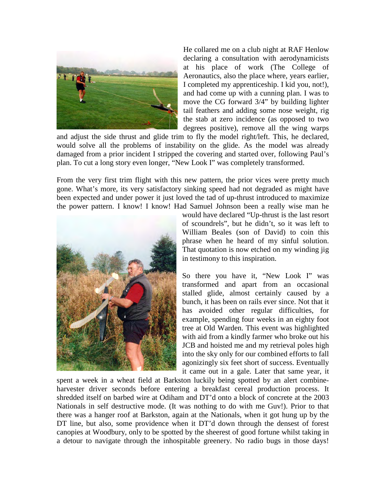

He collared me on a club night at RAF Henlow declaring a consultation with aerodynamicists at his place of work (The College of Aeronautics, also the place where, years earlier, I completed my apprenticeship. I kid you, not!), and had come up with a cunning plan. I was to move the CG forward 3/4" by building lighter tail feathers and adding some nose weight, rig the stab at zero incidence (as opposed to two degrees positive), remove all the wing warps

and adjust the side thrust and glide trim to fly the model right/left. This, he declared, would solve all the problems of instability on the glide. As the model was already damaged from a prior incident I stripped the covering and started over, following Paul's plan. To cut a long story even longer, "New Look I" was completely transformed.

From the very first trim flight with this new pattern, the prior vices were pretty much gone. What's more, its very satisfactory sinking speed had not degraded as might have been expected and under power it just loved the tad of up-thrust introduced to maximize the power pattern. I know! I know! Had Samuel Johnson been a really wise man he



would have declared "Up-thrust is the last resort of scoundrels", but he didn't, so it was left to William Beales (son of David) to coin this phrase when he heard of my sinful solution. That quotation is now etched on my winding jig in testimony to this inspiration.

So there you have it, "New Look I" was transformed and apart from an occasional stalled glide, almost certainly caused by a bunch, it has been on rails ever since. Not that it has avoided other regular difficulties, for example, spending four weeks in an eighty foot tree at Old Warden. This event was highlighted with aid from a kindly farmer who broke out his JCB and hoisted me and my retrieval poles high into the sky only for our combined efforts to fall agonizingly six feet short of success. Eventually it came out in a gale. Later that same year, it

spent a week in a wheat field at Barkston luckily being spotted by an alert combineharvester driver seconds before entering a breakfast cereal production process. It shredded itself on barbed wire at Odiham and DT'd onto a block of concrete at the 2003 Nationals in self destructive mode. (It was nothing to do with me Guv!). Prior to that there was a hanger roof at Barkston, again at the Nationals, when it got hung up by the DT line, but also, some providence when it DT'd down through the densest of forest canopies at Woodbury, only to be spotted by the sheerest of good fortune whilst taking in a detour to navigate through the inhospitable greenery. No radio bugs in those days!